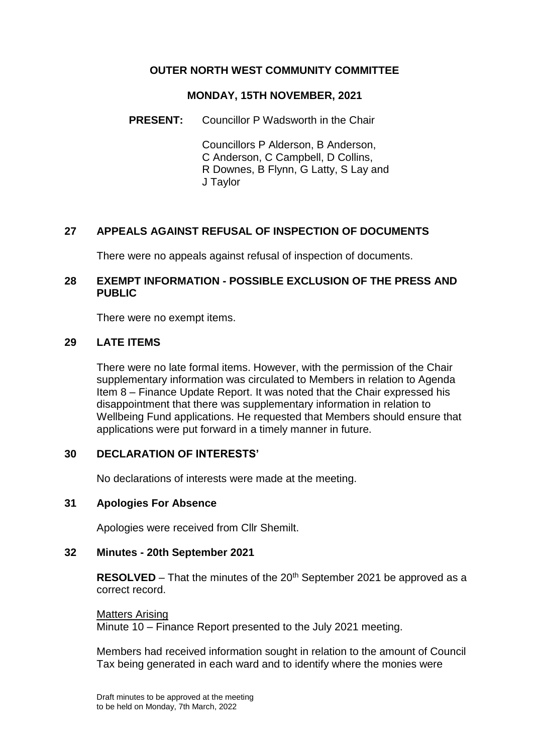## **OUTER NORTH WEST COMMUNITY COMMITTEE**

#### **MONDAY, 15TH NOVEMBER, 2021**

**PRESENT:** Councillor P Wadsworth in the Chair

Councillors P Alderson, B Anderson, C Anderson, C Campbell, D Collins, R Downes, B Flynn, G Latty, S Lay and J Taylor

# **27 APPEALS AGAINST REFUSAL OF INSPECTION OF DOCUMENTS**

There were no appeals against refusal of inspection of documents.

### **28 EXEMPT INFORMATION - POSSIBLE EXCLUSION OF THE PRESS AND PUBLIC**

There were no exempt items.

### **29 LATE ITEMS**

There were no late formal items. However, with the permission of the Chair supplementary information was circulated to Members in relation to Agenda Item 8 – Finance Update Report. It was noted that the Chair expressed his disappointment that there was supplementary information in relation to Wellbeing Fund applications. He requested that Members should ensure that applications were put forward in a timely manner in future.

### **30 DECLARATION OF INTERESTS'**

No declarations of interests were made at the meeting.

### **31 Apologies For Absence**

Apologies were received from Cllr Shemilt.

### **32 Minutes - 20th September 2021**

**RESOLVED** – That the minutes of the 20<sup>th</sup> September 2021 be approved as a correct record.

Matters Arising Minute 10 – Finance Report presented to the July 2021 meeting.

Members had received information sought in relation to the amount of Council Tax being generated in each ward and to identify where the monies were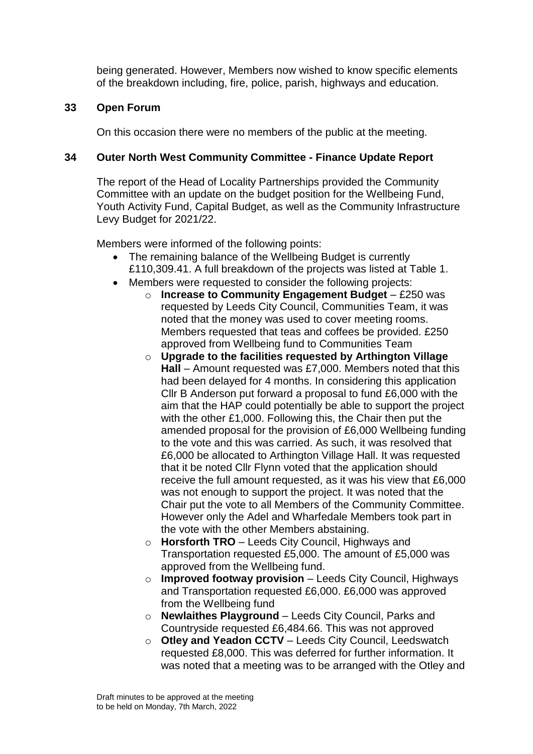being generated. However, Members now wished to know specific elements of the breakdown including, fire, police, parish, highways and education.

# **33 Open Forum**

On this occasion there were no members of the public at the meeting.

# **34 Outer North West Community Committee - Finance Update Report**

The report of the Head of Locality Partnerships provided the Community Committee with an update on the budget position for the Wellbeing Fund, Youth Activity Fund, Capital Budget, as well as the Community Infrastructure Levy Budget for 2021/22.

Members were informed of the following points:

- The remaining balance of the Wellbeing Budget is currently £110,309.41. A full breakdown of the projects was listed at Table 1.
- Members were requested to consider the following projects:
	- o **Increase to Community Engagement Budget** £250 was requested by Leeds City Council, Communities Team, it was noted that the money was used to cover meeting rooms. Members requested that teas and coffees be provided. £250 approved from Wellbeing fund to Communities Team
	- o **Upgrade to the facilities requested by Arthington Village Hall** – Amount requested was £7,000. Members noted that this had been delayed for 4 months. In considering this application Cllr B Anderson put forward a proposal to fund £6,000 with the aim that the HAP could potentially be able to support the project with the other £1,000. Following this, the Chair then put the amended proposal for the provision of £6,000 Wellbeing funding to the vote and this was carried. As such, it was resolved that £6,000 be allocated to Arthington Village Hall. It was requested that it be noted Cllr Flynn voted that the application should receive the full amount requested, as it was his view that £6,000 was not enough to support the project. It was noted that the Chair put the vote to all Members of the Community Committee. However only the Adel and Wharfedale Members took part in the vote with the other Members abstaining.
	- o **Horsforth TRO** Leeds City Council, Highways and Transportation requested £5,000. The amount of £5,000 was approved from the Wellbeing fund.
	- o **Improved footway provision**  Leeds City Council, Highways and Transportation requested £6,000. £6,000 was approved from the Wellbeing fund
	- o **Newlaithes Playground**  Leeds City Council, Parks and Countryside requested £6,484.66. This was not approved
	- o **Otley and Yeadon CCTV**  Leeds City Council, Leedswatch requested £8,000. This was deferred for further information. It was noted that a meeting was to be arranged with the Otley and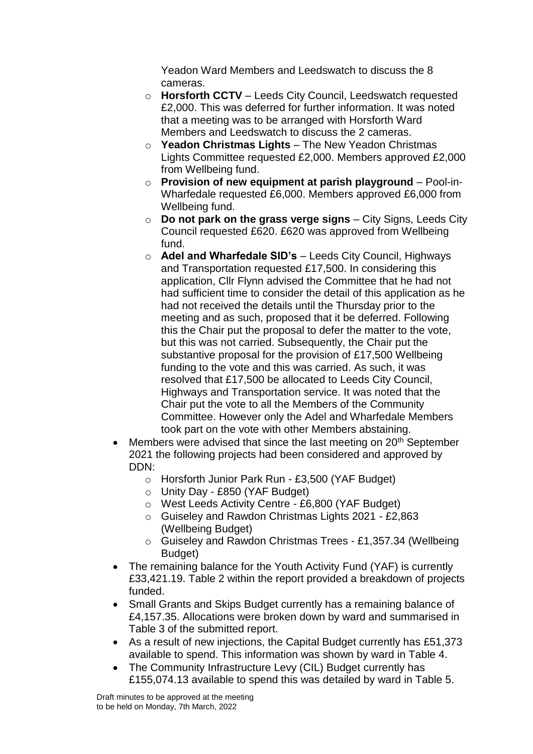Yeadon Ward Members and Leedswatch to discuss the 8 cameras.

- o **Horsforth CCTV**  Leeds City Council, Leedswatch requested £2,000. This was deferred for further information. It was noted that a meeting was to be arranged with Horsforth Ward Members and Leedswatch to discuss the 2 cameras.
- o **Yeadon Christmas Lights**  The New Yeadon Christmas Lights Committee requested £2,000. Members approved £2,000 from Wellbeing fund.
- o **Provision of new equipment at parish playground**  Pool-in-Wharfedale requested £6,000. Members approved £6,000 from Wellbeing fund.
- o **Do not park on the grass verge signs**  City Signs, Leeds City Council requested £620. £620 was approved from Wellbeing fund.
- o **Adel and Wharfedale SID's**  Leeds City Council, Highways and Transportation requested £17,500. In considering this application, Cllr Flynn advised the Committee that he had not had sufficient time to consider the detail of this application as he had not received the details until the Thursday prior to the meeting and as such, proposed that it be deferred. Following this the Chair put the proposal to defer the matter to the vote, but this was not carried. Subsequently, the Chair put the substantive proposal for the provision of £17,500 Wellbeing funding to the vote and this was carried. As such, it was resolved that £17,500 be allocated to Leeds City Council, Highways and Transportation service. It was noted that the Chair put the vote to all the Members of the Community Committee. However only the Adel and Wharfedale Members took part on the vote with other Members abstaining.
- Members were advised that since the last meeting on 20<sup>th</sup> September 2021 the following projects had been considered and approved by DDN:
	- o Horsforth Junior Park Run £3,500 (YAF Budget)
	- o Unity Day £850 (YAF Budget)
	- o West Leeds Activity Centre £6,800 (YAF Budget)
	- o Guiseley and Rawdon Christmas Lights 2021 £2,863 (Wellbeing Budget)
	- o Guiseley and Rawdon Christmas Trees £1,357.34 (Wellbeing Budget)
- The remaining balance for the Youth Activity Fund (YAF) is currently £33,421.19. Table 2 within the report provided a breakdown of projects funded.
- Small Grants and Skips Budget currently has a remaining balance of £4,157.35. Allocations were broken down by ward and summarised in Table 3 of the submitted report.
- As a result of new injections, the Capital Budget currently has £51,373 available to spend. This information was shown by ward in Table 4.
- The Community Infrastructure Levy (CIL) Budget currently has £155,074.13 available to spend this was detailed by ward in Table 5.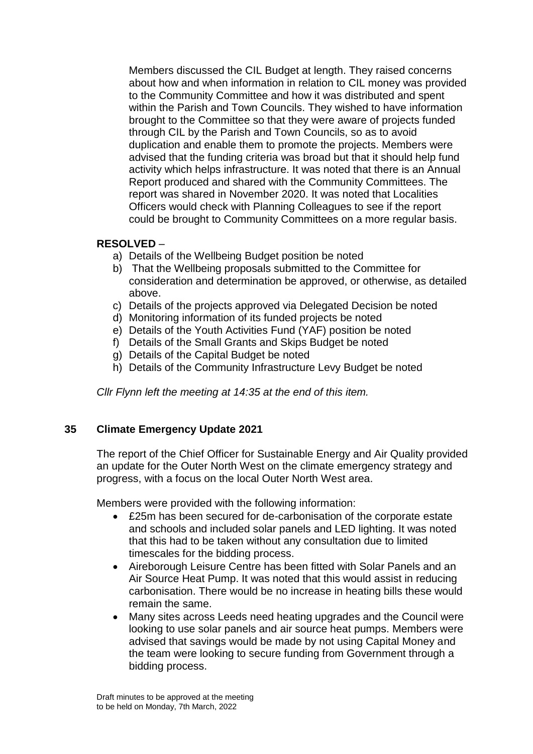Members discussed the CIL Budget at length. They raised concerns about how and when information in relation to CIL money was provided to the Community Committee and how it was distributed and spent within the Parish and Town Councils. They wished to have information brought to the Committee so that they were aware of projects funded through CIL by the Parish and Town Councils, so as to avoid duplication and enable them to promote the projects. Members were advised that the funding criteria was broad but that it should help fund activity which helps infrastructure. It was noted that there is an Annual Report produced and shared with the Community Committees. The report was shared in November 2020. It was noted that Localities Officers would check with Planning Colleagues to see if the report could be brought to Community Committees on a more regular basis.

## **RESOLVED** –

- a) Details of the Wellbeing Budget position be noted
- b) That the Wellbeing proposals submitted to the Committee for consideration and determination be approved, or otherwise, as detailed above.
- c) Details of the projects approved via Delegated Decision be noted
- d) Monitoring information of its funded projects be noted
- e) Details of the Youth Activities Fund (YAF) position be noted
- f) Details of the Small Grants and Skips Budget be noted
- g) Details of the Capital Budget be noted
- h) Details of the Community Infrastructure Levy Budget be noted

*Cllr Flynn left the meeting at 14:35 at the end of this item.*

### **35 Climate Emergency Update 2021**

The report of the Chief Officer for Sustainable Energy and Air Quality provided an update for the Outer North West on the climate emergency strategy and progress, with a focus on the local Outer North West area.

Members were provided with the following information:

- £25m has been secured for de-carbonisation of the corporate estate and schools and included solar panels and LED lighting. It was noted that this had to be taken without any consultation due to limited timescales for the bidding process.
- Aireborough Leisure Centre has been fitted with Solar Panels and an Air Source Heat Pump. It was noted that this would assist in reducing carbonisation. There would be no increase in heating bills these would remain the same.
- Many sites across Leeds need heating upgrades and the Council were looking to use solar panels and air source heat pumps. Members were advised that savings would be made by not using Capital Money and the team were looking to secure funding from Government through a bidding process.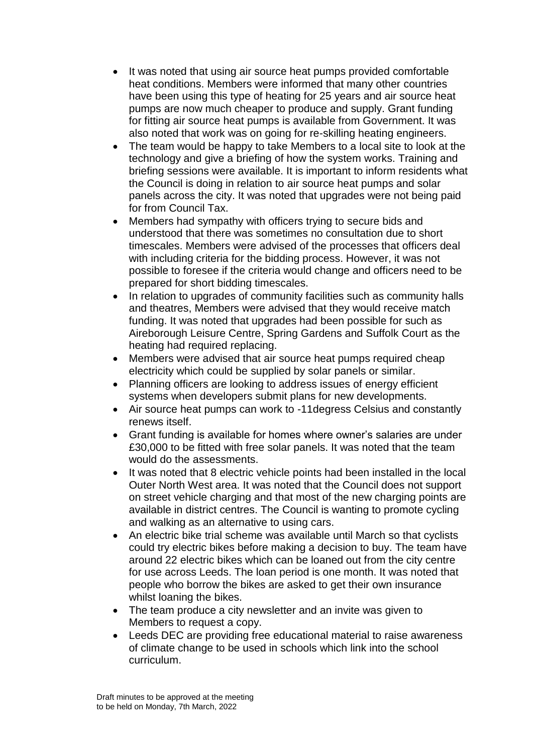- It was noted that using air source heat pumps provided comfortable heat conditions. Members were informed that many other countries have been using this type of heating for 25 years and air source heat pumps are now much cheaper to produce and supply. Grant funding for fitting air source heat pumps is available from Government. It was also noted that work was on going for re-skilling heating engineers.
- The team would be happy to take Members to a local site to look at the technology and give a briefing of how the system works. Training and briefing sessions were available. It is important to inform residents what the Council is doing in relation to air source heat pumps and solar panels across the city. It was noted that upgrades were not being paid for from Council Tax.
- Members had sympathy with officers trying to secure bids and understood that there was sometimes no consultation due to short timescales. Members were advised of the processes that officers deal with including criteria for the bidding process. However, it was not possible to foresee if the criteria would change and officers need to be prepared for short bidding timescales.
- In relation to upgrades of community facilities such as community halls and theatres, Members were advised that they would receive match funding. It was noted that upgrades had been possible for such as Aireborough Leisure Centre, Spring Gardens and Suffolk Court as the heating had required replacing.
- Members were advised that air source heat pumps required cheap electricity which could be supplied by solar panels or similar.
- Planning officers are looking to address issues of energy efficient systems when developers submit plans for new developments.
- Air source heat pumps can work to -11degress Celsius and constantly renews itself.
- Grant funding is available for homes where owner's salaries are under £30,000 to be fitted with free solar panels. It was noted that the team would do the assessments.
- It was noted that 8 electric vehicle points had been installed in the local Outer North West area. It was noted that the Council does not support on street vehicle charging and that most of the new charging points are available in district centres. The Council is wanting to promote cycling and walking as an alternative to using cars.
- An electric bike trial scheme was available until March so that cyclists could try electric bikes before making a decision to buy. The team have around 22 electric bikes which can be loaned out from the city centre for use across Leeds. The loan period is one month. It was noted that people who borrow the bikes are asked to get their own insurance whilst loaning the bikes.
- The team produce a city newsletter and an invite was given to Members to request a copy.
- Leeds DEC are providing free educational material to raise awareness of climate change to be used in schools which link into the school curriculum.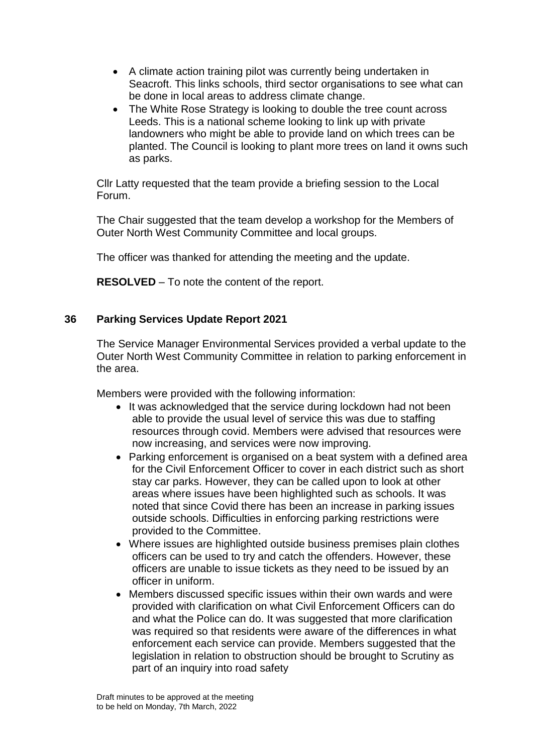- A climate action training pilot was currently being undertaken in Seacroft. This links schools, third sector organisations to see what can be done in local areas to address climate change.
- The White Rose Strategy is looking to double the tree count across Leeds. This is a national scheme looking to link up with private landowners who might be able to provide land on which trees can be planted. The Council is looking to plant more trees on land it owns such as parks.

Cllr Latty requested that the team provide a briefing session to the Local Forum.

The Chair suggested that the team develop a workshop for the Members of Outer North West Community Committee and local groups.

The officer was thanked for attending the meeting and the update.

**RESOLVED** – To note the content of the report.

## **36 Parking Services Update Report 2021**

The Service Manager Environmental Services provided a verbal update to the Outer North West Community Committee in relation to parking enforcement in the area.

Members were provided with the following information:

- It was acknowledged that the service during lockdown had not been able to provide the usual level of service this was due to staffing resources through covid. Members were advised that resources were now increasing, and services were now improving.
- Parking enforcement is organised on a beat system with a defined area for the Civil Enforcement Officer to cover in each district such as short stay car parks. However, they can be called upon to look at other areas where issues have been highlighted such as schools. It was noted that since Covid there has been an increase in parking issues outside schools. Difficulties in enforcing parking restrictions were provided to the Committee.
- Where issues are highlighted outside business premises plain clothes officers can be used to try and catch the offenders. However, these officers are unable to issue tickets as they need to be issued by an officer in uniform.
- Members discussed specific issues within their own wards and were provided with clarification on what Civil Enforcement Officers can do and what the Police can do. It was suggested that more clarification was required so that residents were aware of the differences in what enforcement each service can provide. Members suggested that the legislation in relation to obstruction should be brought to Scrutiny as part of an inquiry into road safety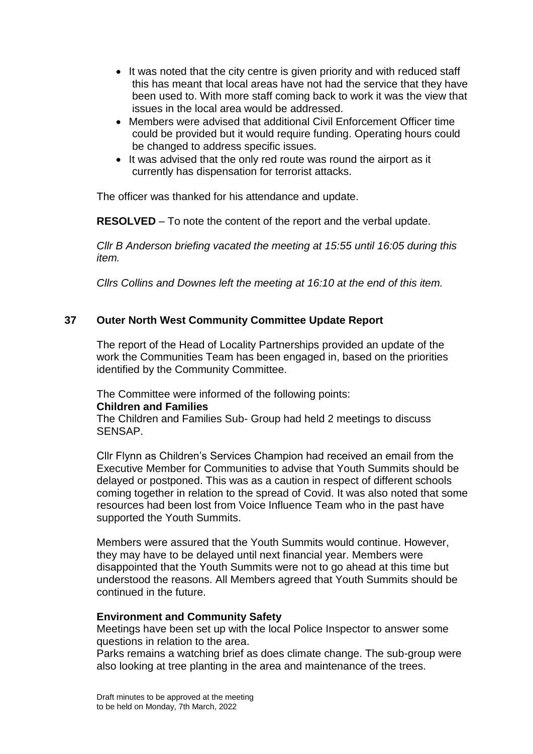- It was noted that the city centre is given priority and with reduced staff this has meant that local areas have not had the service that they have been used to. With more staff coming back to work it was the view that issues in the local area would be addressed.
- Members were advised that additional Civil Enforcement Officer time could be provided but it would require funding. Operating hours could be changed to address specific issues.
- It was advised that the only red route was round the airport as it currently has dispensation for terrorist attacks.

The officer was thanked for his attendance and update.

**RESOLVED** – To note the content of the report and the verbal update.

*Cllr B Anderson briefing vacated the meeting at 15:55 until 16:05 during this item.*

*Cllrs Collins and Downes left the meeting at 16:10 at the end of this item.*

### **37 Outer North West Community Committee Update Report**

The report of the Head of Locality Partnerships provided an update of the work the Communities Team has been engaged in, based on the priorities identified by the Community Committee.

The Committee were informed of the following points:

#### **Children and Families**

The Children and Families Sub- Group had held 2 meetings to discuss SENSAP.

Cllr Flynn as Children's Services Champion had received an email from the Executive Member for Communities to advise that Youth Summits should be delayed or postponed. This was as a caution in respect of different schools coming together in relation to the spread of Covid. It was also noted that some resources had been lost from Voice Influence Team who in the past have supported the Youth Summits.

Members were assured that the Youth Summits would continue. However, they may have to be delayed until next financial year. Members were disappointed that the Youth Summits were not to go ahead at this time but understood the reasons. All Members agreed that Youth Summits should be continued in the future.

### **Environment and Community Safety**

Meetings have been set up with the local Police Inspector to answer some questions in relation to the area.

Parks remains a watching brief as does climate change. The sub-group were also looking at tree planting in the area and maintenance of the trees.